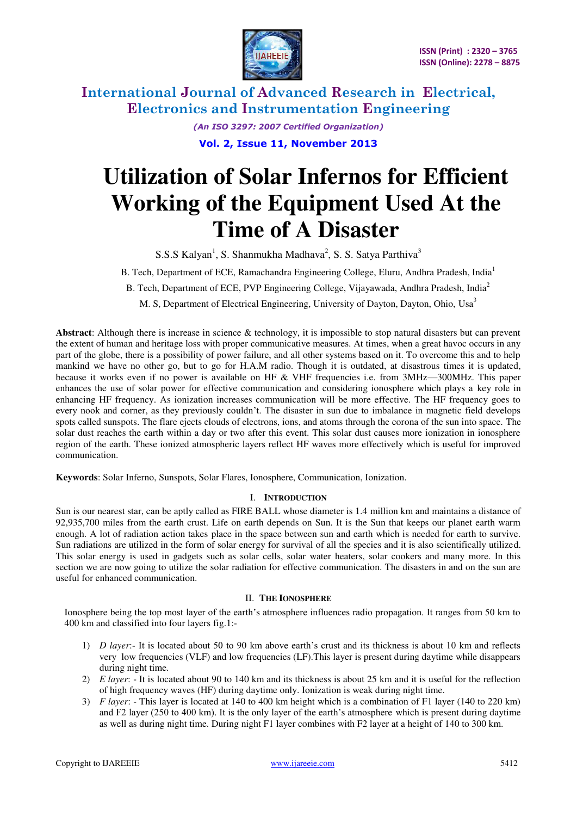

> *(An ISO 3297: 2007 Certified Organization)*  **Vol. 2, Issue 11, November 2013**

# **Utilization of Solar Infernos for Efficient Working of the Equipment Used At the Time of A Disaster**

S.S.S Kalyan<sup>1</sup>, S. Shanmukha Madhava<sup>2</sup>, S. S. Satya Parthiva<sup>3</sup>

B. Tech, Department of ECE, Ramachandra Engineering College, Eluru, Andhra Pradesh, India<sup>1</sup>

B. Tech, Department of ECE, PVP Engineering College, Vijayawada, Andhra Pradesh, India<sup>2</sup>

M. S. Department of Electrical Engineering, University of Dayton, Dayton, Ohio, Usa<sup>3</sup>

**Abstract**: Although there is increase in science & technology, it is impossible to stop natural disasters but can prevent the extent of human and heritage loss with proper communicative measures. At times, when a great havoc occurs in any part of the globe, there is a possibility of power failure, and all other systems based on it. To overcome this and to help mankind we have no other go, but to go for H.A.M radio. Though it is outdated, at disastrous times it is updated, because it works even if no power is available on HF & VHF frequencies i.e. from 3MHz—300MHz. This paper enhances the use of solar power for effective communication and considering ionosphere which plays a key role in enhancing HF frequency. As ionization increases communication will be more effective. The HF frequency goes to every nook and corner, as they previously couldn't. The disaster in sun due to imbalance in magnetic field develops spots called sunspots. The flare ejects clouds of electrons, ions, and atoms through the corona of the sun into space. The solar dust reaches the earth within a day or two after this event. This solar dust causes more ionization in ionosphere region of the earth. These ionized atmospheric layers reflect HF waves more effectively which is useful for improved communication.

**Keywords**: Solar Inferno, Sunspots, Solar Flares, Ionosphere, Communication, Ionization.

#### I. **INTRODUCTION**

Sun is our nearest star, can be aptly called as FIRE BALL whose diameter is 1.4 million km and maintains a distance of 92,935,700 miles from the earth crust. Life on earth depends on Sun. It is the Sun that keeps our planet earth warm enough. A lot of radiation action takes place in the space between sun and earth which is needed for earth to survive. Sun radiations are utilized in the form of solar energy for survival of all the species and it is also scientifically utilized. This solar energy is used in gadgets such as solar cells, solar water heaters, solar cookers and many more. In this section we are now going to utilize the solar radiation for effective communication. The disasters in and on the sun are useful for enhanced communication.

#### II. **THE IONOSPHERE**

Ionosphere being the top most layer of the earth's atmosphere influences radio propagation. It ranges from 50 km to 400 km and classified into four layers fig.1:-

- 1) *D layer*:- It is located about 50 to 90 km above earth's crust and its thickness is about 10 km and reflects very low frequencies (VLF) and low frequencies (LF).This layer is present during daytime while disappears during night time.
- 2) *E layer*: It is located about 90 to 140 km and its thickness is about 25 km and it is useful for the reflection of high frequency waves (HF) during daytime only. Ionization is weak during night time.
- 3) *F layer*: This layer is located at 140 to 400 km height which is a combination of F1 layer (140 to 220 km) and F2 layer (250 to 400 km). It is the only layer of the earth's atmosphere which is present during daytime as well as during night time. During night F1 layer combines with F2 layer at a height of 140 to 300 km.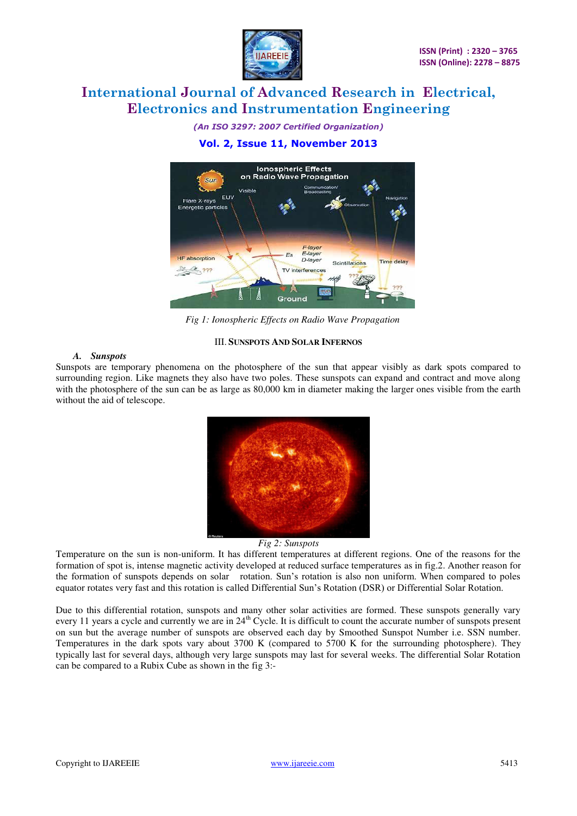

*(An ISO 3297: 2007 Certified Organization)*  **Vol. 2, Issue 11, November 2013** 



*Fig 1: Ionospheric Effects on Radio Wave Propagation* 

#### III. **SUNSPOTS AND SOLAR INFERNOS**

#### *A. Sunspots*

Sunspots are temporary phenomena on the photosphere of the sun that appear visibly as dark spots compared to surrounding region. Like magnets they also have two poles. These sunspots can expand and contract and move along with the photosphere of the sun can be as large as 80,000 km in diameter making the larger ones visible from the earth without the aid of telescope.



*Fig 2: Sunspots* 

Temperature on the sun is non-uniform. It has different temperatures at different regions. One of the reasons for the formation of spot is, intense magnetic activity developed at reduced surface temperatures as in fig.2. Another reason for the formation of sunspots depends on solar rotation. Sun's rotation is also non uniform. When compared to poles equator rotates very fast and this rotation is called Differential Sun's Rotation (DSR) or Differential Solar Rotation.

Due to this differential rotation, sunspots and many other solar activities are formed. These sunspots generally vary every 11 years a cycle and currently we are in  $24<sup>th</sup>$  Cycle. It is difficult to count the accurate number of sunspots present on sun but the average number of sunspots are observed each day by Smoothed Sunspot Number i.e. SSN number. Temperatures in the dark spots vary about 3700 K (compared to 5700 K for the surrounding photosphere). They typically last for several days, although very large sunspots may last for several weeks. The differential Solar Rotation can be compared to a Rubix Cube as shown in the fig 3:-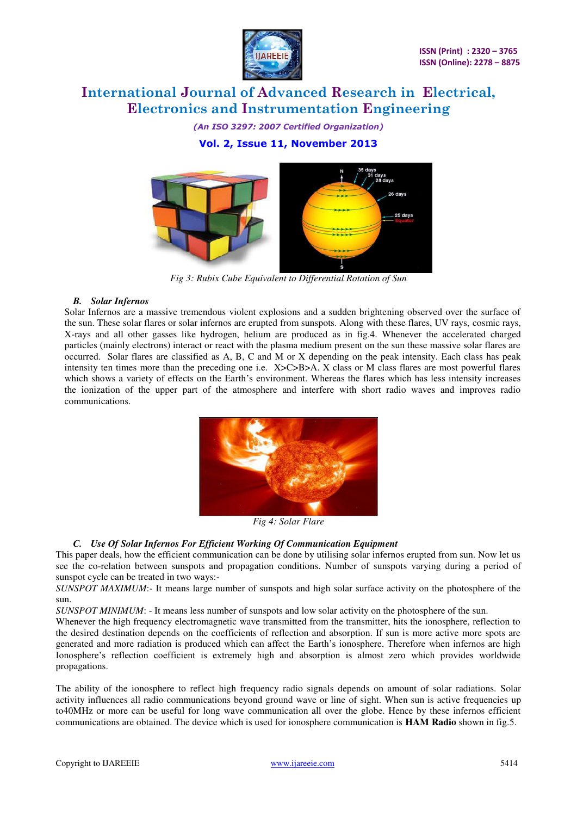

*(An ISO 3297: 2007 Certified Organization)*  **Vol. 2, Issue 11, November 2013** 



*Fig 3: Rubix Cube Equivalent to Differential Rotation of Sun* 

#### *B. Solar Infernos*

Solar Infernos are a massive tremendous violent explosions and a sudden brightening observed over the surface of the sun. These solar flares or solar infernos are erupted from sunspots. Along with these flares, UV rays, cosmic rays, X-rays and all other gasses like hydrogen, helium are produced as in fig.4. Whenever the accelerated charged particles (mainly electrons) interact or react with the plasma medium present on the sun these massive solar flares are occurred. Solar flares are classified as A, B, C and M or X depending on the peak intensity. Each class has peak intensity ten times more than the preceding one i.e. X>C>B>A. X class or M class flares are most powerful flares which shows a variety of effects on the Earth's environment. Whereas the flares which has less intensity increases the ionization of the upper part of the atmosphere and interfere with short radio waves and improves radio communications.



*Fig 4: Solar Flare* 

#### *C. Use Of Solar Infernos For Efficient Working Of Communication Equipment*

This paper deals, how the efficient communication can be done by utilising solar infernos erupted from sun. Now let us see the co-relation between sunspots and propagation conditions. Number of sunspots varying during a period of sunspot cycle can be treated in two ways:-

*SUNSPOT MAXIMUM*:- It means large number of sunspots and high solar surface activity on the photosphere of the sun.

*SUNSPOT MINIMUM*: - It means less number of sunspots and low solar activity on the photosphere of the sun.

Whenever the high frequency electromagnetic wave transmitted from the transmitter, hits the ionosphere, reflection to the desired destination depends on the coefficients of reflection and absorption. If sun is more active more spots are generated and more radiation is produced which can affect the Earth's ionosphere. Therefore when infernos are high Ionosphere's reflection coefficient is extremely high and absorption is almost zero which provides worldwide propagations.

The ability of the ionosphere to reflect high frequency radio signals depends on amount of solar radiations. Solar activity influences all radio communications beyond ground wave or line of sight. When sun is active frequencies up to40MHz or more can be useful for long wave communication all over the globe. Hence by these infernos efficient communications are obtained. The device which is used for ionosphere communication is **HAM Radio** shown in fig.5.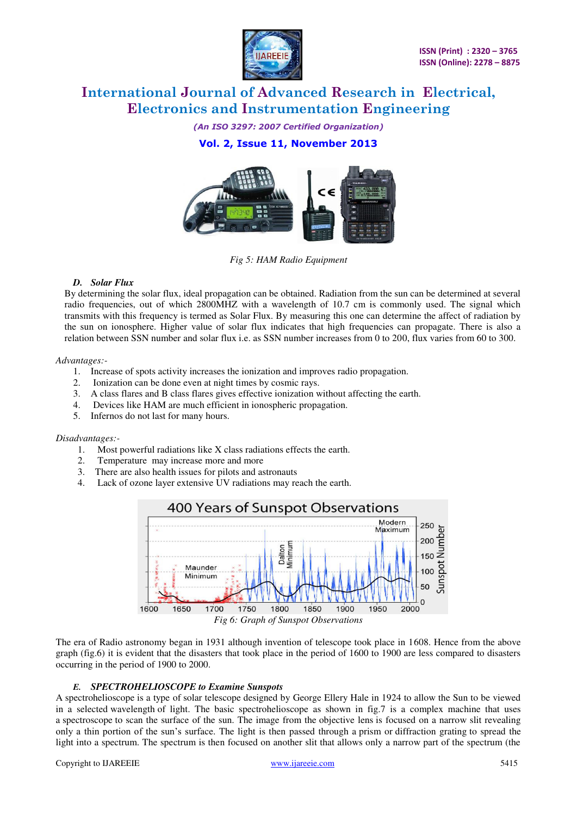

*(An ISO 3297: 2007 Certified Organization)*  **Vol. 2, Issue 11, November 2013** 



*Fig 5: HAM Radio Equipment* 

#### *D. Solar Flux*

By determining the solar flux, ideal propagation can be obtained. Radiation from the sun can be determined at several radio frequencies, out of which 2800MHZ with a wavelength of 10.7 cm is commonly used. The signal which transmits with this frequency is termed as Solar Flux. By measuring this one can determine the affect of radiation by the sun on ionosphere. Higher value of solar flux indicates that high frequencies can propagate. There is also a relation between SSN number and solar flux i.e. as SSN number increases from 0 to 200, flux varies from 60 to 300.

#### *Advantages:-*

- 1. Increase of spots activity increases the ionization and improves radio propagation.
- 2. Ionization can be done even at night times by cosmic rays.
- 3. A class flares and B class flares gives effective ionization without affecting the earth.
- 4. Devices like HAM are much efficient in ionospheric propagation.
- 5. Infernos do not last for many hours.

#### *Disadvantages:-*

- 1. Most powerful radiations like X class radiations effects the earth.
- 2. Temperature may increase more and more
- 3. There are also health issues for pilots and astronauts
- 4. Lack of ozone layer extensive UV radiations may reach the earth.



*Fig 6: Graph of Sunspot Observations* 

The era of Radio astronomy began in 1931 although invention of telescope took place in 1608. Hence from the above graph (fig.6) it is evident that the disasters that took place in the period of 1600 to 1900 are less compared to disasters occurring in the period of 1900 to 2000.

#### *E. SPECTROHELIOSCOPE to Examine Sunspots*

A spectrohelioscope is a type of solar telescope designed by George Ellery Hale in 1924 to allow the Sun to be viewed in a selected wavelength of light. The basic spectrohelioscope as shown in fig.7 is a complex machine that uses [a spectroscope](http://en.wikipedia.org/wiki/Spectroscope) to scan the surface of the sun. The image from the [objective lens i](http://en.wikipedia.org/wiki/Objective_lens)s focused on a narrow slit revealing only a thin portion of the sun's surface. The light is then passed through a [prism](http://en.wikipedia.org/wiki/Prism_\(optics\)) o[r diffraction grating](http://en.wikipedia.org/wiki/Diffraction_grating) to spread the light into a spectrum. The spectrum is then focused on another slit that allows only a narrow part of the spectrum (the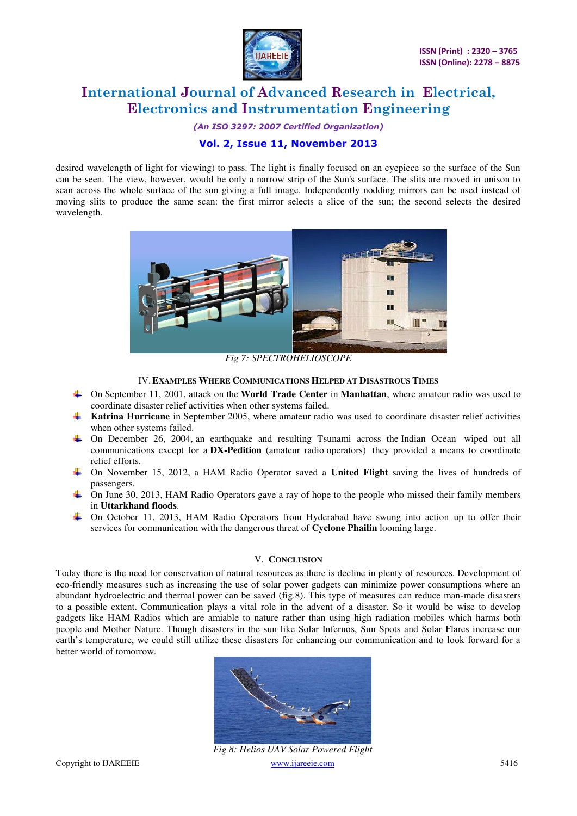

*(An ISO 3297: 2007 Certified Organization)* 

### **Vol. 2, Issue 11, November 2013**

desired wavelength of light for viewing) to pass. The light is finally focused on an eyepiece so the surface of the Sun can be seen. The view, however, would be only a narrow strip of the Sun's surface. The slits are moved in unison to scan across the whole surface of the sun giving a full image. Independently nodding mirrors can be used instead of moving slits to produce the same scan: the first mirror selects a slice of the sun; the second selects the desired wavelength.



*Fig 7: SPECTROHELIOSCOPE* 

#### IV.**EXAMPLES WHERE COMMUNICATIONS HELPED AT DISASTROUS TIMES**

- On September 11, 2001, attack on the **World Trade Center** in **Manhattan**, where amateur radio was used to coordinate disaster relief activities when other systems failed.
- **Katrina Hurricane** in September 2005, where amateur radio was used to coordinate disaster relief activities when other systems failed.
- On December 26, 2004, an earthquake and resulting Tsunami across the Indian Ocean wiped out all communications except for a **DX-Pedition** (amateur radio operators) they provided a means to coordinate relief efforts.
- On November 15, 2012, a HAM Radio Operator saved a **United Flight** saving the lives of hundreds of passengers.
- On June 30, 2013, HAM Radio Operators gave a ray of hope to the people who missed their family members in **Uttarkhand floods**.
- On October 11, 2013, HAM Radio Operators from Hyderabad have swung into action up to offer their services for communication with the dangerous threat of **Cyclone Phailin** looming large.

#### V. **CONCLUSION**

Today there is the need for conservation of natural resources as there is decline in plenty of resources. Development of eco-friendly measures such as increasing the use of solar power gadgets can minimize power consumptions where an abundant hydroelectric and thermal power can be saved (fig.8). This type of measures can reduce man-made disasters to a possible extent. Communication plays a vital role in the advent of a disaster. So it would be wise to develop gadgets like HAM Radios which are amiable to nature rather than using high radiation mobiles which harms both people and Mother Nature. Though disasters in the sun like Solar Infernos, Sun Spots and Solar Flares increase our earth's temperature, we could still utilize these disasters for enhancing our communication and to look forward for a better world of tomorrow.



Copyright to IJAREEIE www.ijareeie.com 5416 *Fig 8: Helios UAV Solar Powered Flight*